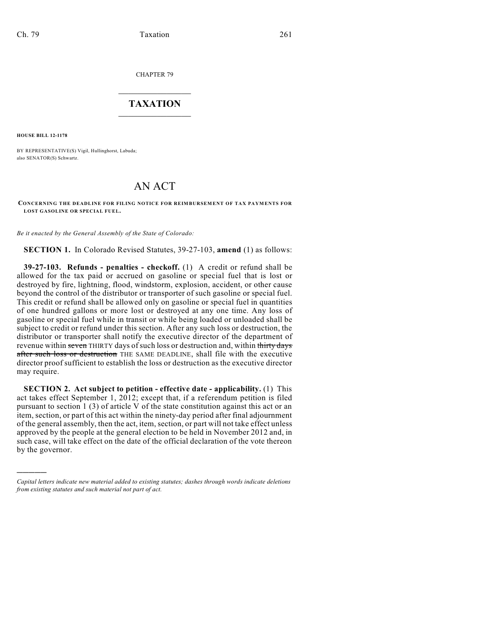CHAPTER 79

## $\overline{\phantom{a}}$  . The set of the set of the set of the set of the set of the set of the set of the set of the set of the set of the set of the set of the set of the set of the set of the set of the set of the set of the set o **TAXATION**  $\_$

**HOUSE BILL 12-1178**

)))))

BY REPRESENTATIVE(S) Vigil, Hullinghorst, Labuda; also SENATOR(S) Schwartz.

## AN ACT

## **CONCERNING THE DEADLINE FOR FILING NOTICE FOR REIMBURSEMENT OF TAX PAYMENTS FOR LOST GASOLINE OR SPECIAL FUEL.**

*Be it enacted by the General Assembly of the State of Colorado:*

**SECTION 1.** In Colorado Revised Statutes, 39-27-103, **amend** (1) as follows:

**39-27-103. Refunds - penalties - checkoff.** (1) A credit or refund shall be allowed for the tax paid or accrued on gasoline or special fuel that is lost or destroyed by fire, lightning, flood, windstorm, explosion, accident, or other cause beyond the control of the distributor or transporter of such gasoline or special fuel. This credit or refund shall be allowed only on gasoline or special fuel in quantities of one hundred gallons or more lost or destroyed at any one time. Any loss of gasoline or special fuel while in transit or while being loaded or unloaded shall be subject to credit or refund under this section. After any such loss or destruction, the distributor or transporter shall notify the executive director of the department of revenue within seven THIRTY days of such loss or destruction and, within thirty days after such loss or destruction THE SAME DEADLINE, shall file with the executive director proof sufficient to establish the loss or destruction as the executive director may require.

**SECTION 2. Act subject to petition - effective date - applicability.** (1) This act takes effect September 1, 2012; except that, if a referendum petition is filed pursuant to section 1 (3) of article V of the state constitution against this act or an item, section, or part of this act within the ninety-day period after final adjournment of the general assembly, then the act, item, section, or part will not take effect unless approved by the people at the general election to be held in November 2012 and, in such case, will take effect on the date of the official declaration of the vote thereon by the governor.

*Capital letters indicate new material added to existing statutes; dashes through words indicate deletions from existing statutes and such material not part of act.*